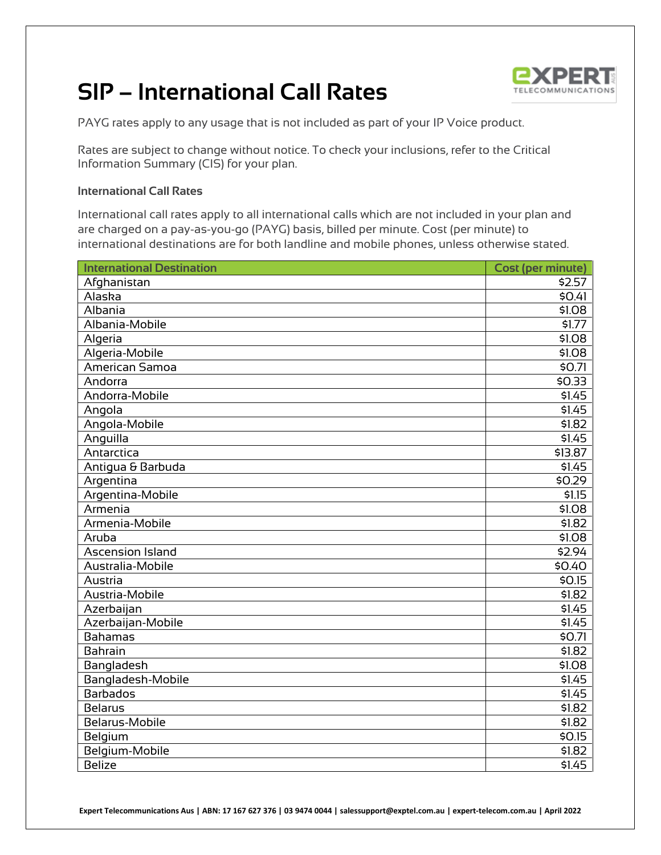## **SIP – International Call Rates**



PAYG rates apply to any usage that is not included as part of your IP Voice product.

Rates are subject to change without notice. To check your inclusions, refer to the Critical Information Summary (CIS) for your plan.

## **International Call Rates**

International call rates apply to all international calls which are not included in your plan and are charged on a pay-as-you-go (PAYG) basis, billed per minute. Cost (per minute) to international destinations are for both landline and mobile phones, unless otherwise stated.

| <b>International Destination</b> | <b>Cost (per minute)</b> |
|----------------------------------|--------------------------|
| Afghanistan                      | \$2.57                   |
| Alaska                           | \$0.41                   |
| Albania                          | \$1.08                   |
| Albania-Mobile                   | \$1.77                   |
| Algeria                          | \$1.08                   |
| Algeria-Mobile                   | \$1.08                   |
| American Samoa                   | \$0.71                   |
| Andorra                          | \$0.33                   |
| Andorra-Mobile                   | \$1.45                   |
| Angola                           | \$1.45                   |
| Angola-Mobile                    | \$1.82                   |
| Anguilla                         | \$1.45                   |
| Antarctica                       | \$13.87                  |
| Antigua & Barbuda                | \$1.45                   |
| Argentina                        | \$0.29                   |
| Argentina-Mobile                 | \$1.15                   |
| Armenia                          | \$1.08                   |
| Armenia-Mobile                   | \$1.82                   |
| Aruba                            | \$1.08                   |
| <b>Ascension Island</b>          | \$2.94                   |
| Australia-Mobile                 | \$0.40                   |
| Austria                          | \$0.15                   |
| Austria-Mobile                   | \$1.82                   |
| Azerbaijan                       | \$1.45                   |
| Azerbaijan-Mobile                | \$1.45                   |
| <b>Bahamas</b>                   | \$0.71                   |
| <b>Bahrain</b>                   | \$1.82                   |
| Bangladesh                       | \$1.08                   |
| Bangladesh-Mobile                | \$1.45                   |
| <b>Barbados</b>                  | \$1.45                   |
| <b>Belarus</b>                   | \$1.82                   |
| Belarus-Mobile                   | \$1.82                   |
| Belgium                          | \$0.15                   |
| Belgium-Mobile                   | \$1.82                   |
| <b>Belize</b>                    | \$1.45                   |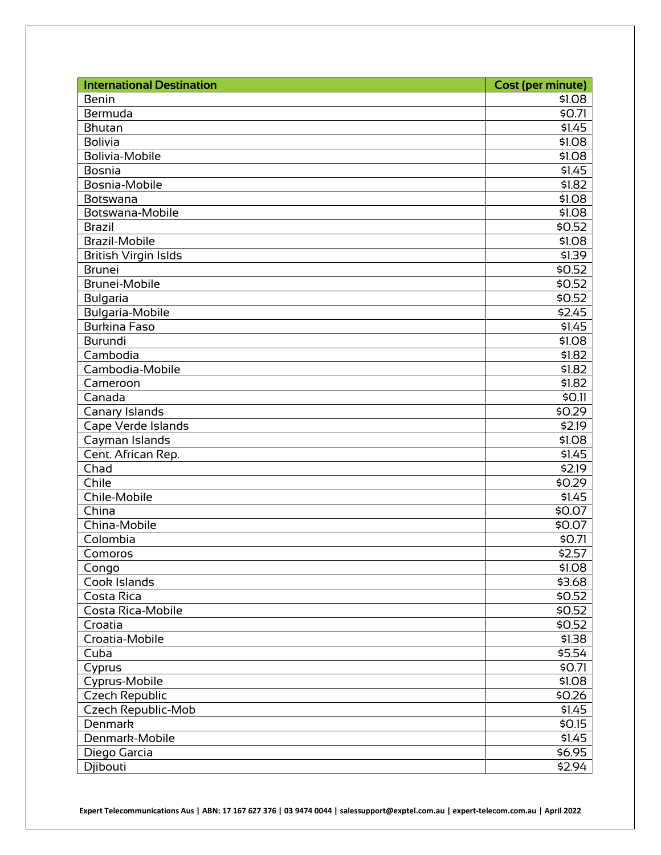| <b>International Destination</b> | <b>Cost (per minute)</b> |
|----------------------------------|--------------------------|
| <b>Benin</b>                     | \$1.08                   |
| Bermuda                          | \$0.71                   |
| Bhutan                           | \$1.45                   |
| <b>Bolivia</b>                   | \$1.08                   |
| <b>Bolivia-Mobile</b>            | \$1.08                   |
| <b>Bosnia</b>                    | \$1.45                   |
| Bosnia-Mobile                    | \$1.82                   |
| Botswana                         | \$1.08                   |
| Botswana-Mobile                  | \$1.08                   |
| <b>Brazil</b>                    | \$0.52                   |
| <b>Brazil-Mobile</b>             | \$1.08                   |
| <b>British Virgin Islds</b>      | \$1.39                   |
| <b>Brunei</b>                    | \$0.52                   |
| <b>Brunei-Mobile</b>             | \$0.52                   |
| <b>Bulgaria</b>                  | \$0.52                   |
| <b>Bulgaria-Mobile</b>           | \$2.45                   |
| <b>Burkina Faso</b>              | \$1.45                   |
| <b>Burundi</b>                   | \$1.08                   |
| Cambodia                         | \$1.82                   |
| Cambodia-Mobile                  | \$1.82                   |
| Cameroon                         | \$1.82                   |
| Canada                           | \$0.11                   |
| Canary Islands                   | \$0.29                   |
| Cape Verde Islands               | \$2.19                   |
| Cayman Islands                   | \$1.08                   |
| Cent. African Rep.               | \$1.45                   |
| Chad                             | \$2.19                   |
| Chile                            | \$0.29                   |
| Chile-Mobile                     | \$1.45                   |
| China                            | \$0.07                   |
| China-Mobile                     | \$0.07                   |
| Colombia                         | \$0.71                   |
| Comoros                          | \$2.57                   |
| Congo                            | \$1.08                   |
| Cook Islands                     | \$3.68                   |
| Costa Rica                       | \$0.52                   |
| Costa Rica-Mobile                | \$0.52                   |
| Croatia                          | \$0.52                   |
| Croatia-Mobile                   | \$1.38                   |
| Cuba                             | \$5.54                   |
| Cyprus                           | \$0.71                   |
| Cyprus-Mobile                    | \$1.08                   |
| <b>Czech Republic</b>            | \$0.26                   |
| <b>Czech Republic-Mob</b>        | \$1.45                   |
| <b>Denmark</b>                   | \$0.15                   |
| Denmark-Mobile                   | \$1.45                   |
| Diego Garcia                     | \$6.95                   |
| Djibouti                         | \$2.94                   |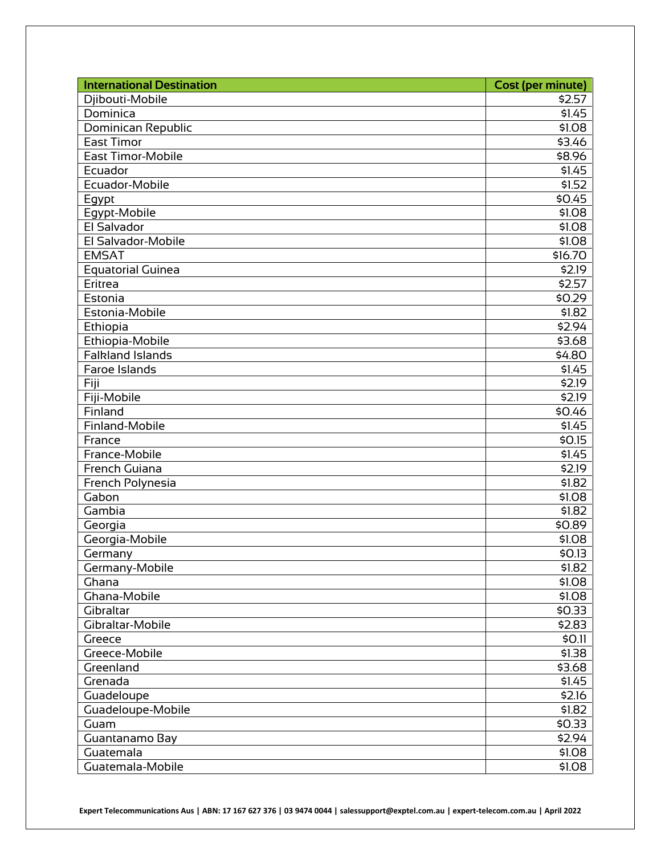| <b>International Destination</b> | <b>Cost (per minute)</b> |
|----------------------------------|--------------------------|
| Djibouti-Mobile                  | \$2.57                   |
| Dominica                         | \$1.45                   |
| Dominican Republic               | \$1.08                   |
| <b>East Timor</b>                | \$3.46                   |
| <b>East Timor-Mobile</b>         | \$8.96                   |
| Ecuador                          | \$1.45                   |
| Ecuador-Mobile                   | \$1.52                   |
| Egypt                            | \$0.45                   |
| Egypt-Mobile                     | \$1.08                   |
| El Salvador                      | \$1.08                   |
| El Salvador-Mobile               | \$1.08                   |
| <b>EMSAT</b>                     | \$16.70                  |
| <b>Equatorial Guinea</b>         | \$2.19                   |
| Eritrea                          | \$2.57                   |
| Estonia                          | \$0.29                   |
| Estonia-Mobile                   | \$1.82                   |
| Ethiopia                         | \$2.94                   |
| Ethiopia-Mobile                  | \$3.68                   |
| <b>Falkland Islands</b>          | \$4.80                   |
| Faroe Islands                    | \$1.45                   |
| Fiji                             | \$2.19                   |
| Fiji-Mobile                      | \$2.19                   |
| Finland                          | \$0.46                   |
| Finland-Mobile                   | \$1.45                   |
| France                           | \$0.15                   |
| France-Mobile                    | \$1.45                   |
| French Guiana                    | \$2.19                   |
| French Polynesia                 | \$1.82                   |
| Gabon                            | \$1.08                   |
| Gambia                           | \$1.82                   |
| Georgia                          | \$0.89                   |
| Georgia-Mobile                   | \$1.08                   |
| Germany                          | \$0.13                   |
| Germany-Mobile                   | \$1.82                   |
| Ghana                            | \$1.08                   |
| Ghana-Mobile                     | \$1.08                   |
| Gibraltar                        | \$0.33                   |
| Gibraltar-Mobile                 | \$2.83                   |
| Greece                           | \$0.11                   |
| Greece-Mobile                    | \$1.38                   |
| Greenland                        | \$3.68                   |
| Grenada                          | \$1.45                   |
| Guadeloupe                       | \$2.16                   |
| Guadeloupe-Mobile                | \$1.82                   |
| Guam                             | \$0.33                   |
| Guantanamo Bay                   | \$2.94                   |
| Guatemala                        | \$1.08                   |
| Guatemala-Mobile                 | \$1.08                   |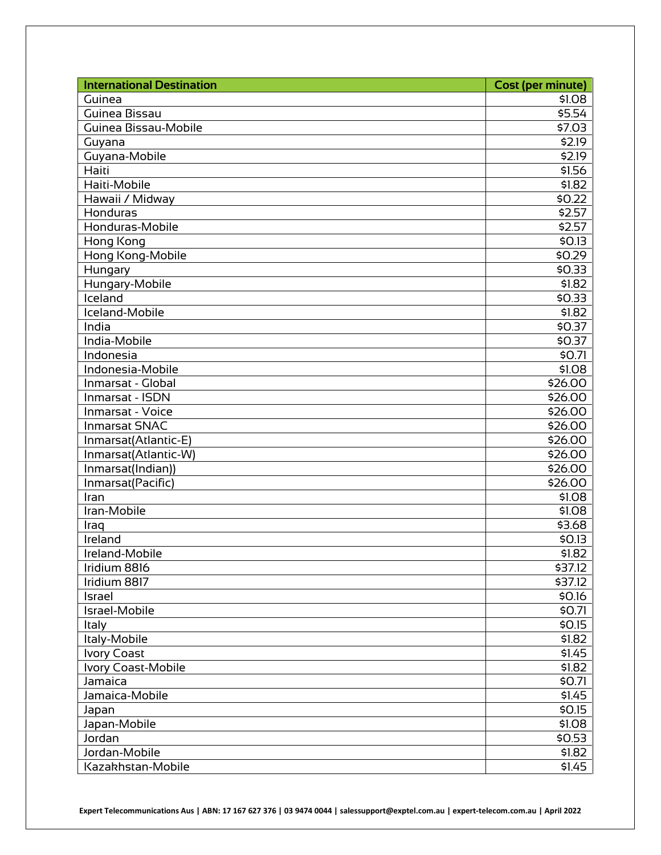| <b>International Destination</b> | <b>Cost (per minute)</b> |
|----------------------------------|--------------------------|
| Guinea                           | \$1.08                   |
| Guinea Bissau                    | \$5.54                   |
| Guinea Bissau-Mobile             | \$7.03                   |
| Guyana                           | \$2.19                   |
| Guyana-Mobile                    | \$2.19                   |
| Haiti                            | \$1.56                   |
| Haiti-Mobile                     | \$1.82                   |
| Hawaii / Midway                  | \$0.22                   |
| Honduras                         | \$2.57                   |
| Honduras-Mobile                  | \$2.57                   |
| Hong Kong                        | \$0.13                   |
| Hong Kong-Mobile                 | \$0.29                   |
| Hungary                          | \$0.33                   |
| Hungary-Mobile                   | \$1.82                   |
| Iceland                          | \$0.33                   |
| Iceland-Mobile                   | \$1.82                   |
| India                            | \$0.37                   |
| India-Mobile                     | \$0.37                   |
| Indonesia                        | \$0.71                   |
| Indonesia-Mobile                 | \$1.08                   |
| Inmarsat - Global                | \$26.00                  |
| Inmarsat - ISDN                  | \$26.00                  |
| Inmarsat - Voice                 | \$26.00                  |
| <b>Inmarsat SNAC</b>             | \$26.00                  |
| Inmarsat(Atlantic-E)             | \$26.00                  |
| Inmarsat(Atlantic-W)             | \$26.00                  |
| Inmarsat(Indian))                | \$26.00                  |
| Inmarsat(Pacific)                | \$26.00                  |
| Iran                             | \$1.08                   |
| Iran-Mobile                      | \$1.08                   |
| Iraq                             | \$3.68                   |
| Ireland                          | \$0.13                   |
| Ireland-Mobile                   | \$1.82                   |
| Iridium 8816                     | \$37.12                  |
| Iridium 8817                     | \$37.12                  |
| Israel                           | \$0.16                   |
| Israel-Mobile                    | \$0.71                   |
| Italy                            | \$0.15                   |
| Italy-Mobile                     | \$1.82                   |
| <b>Ivory Coast</b>               | \$1.45                   |
| Ivory Coast-Mobile               | \$1.82                   |
| Jamaica                          | \$0.71                   |
| Jamaica-Mobile                   | \$1.45                   |
| Japan                            | \$0.15                   |
| Japan-Mobile                     | \$1.08                   |
| Jordan                           | \$0.53                   |
| Jordan-Mobile                    | \$1.82                   |
| Kazakhstan-Mobile                | \$1.45                   |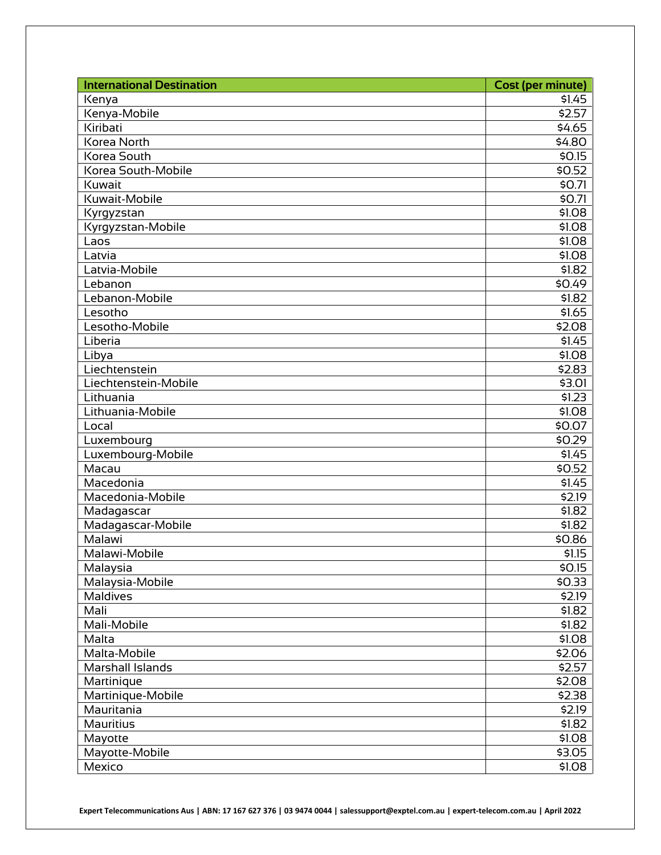| <b>International Destination</b> | <b>Cost (per minute)</b> |
|----------------------------------|--------------------------|
| Kenya                            | \$1.45                   |
| Kenya-Mobile                     | \$2.57                   |
| Kiribati                         | \$4.65                   |
| Korea North                      | \$4.80                   |
| Korea South                      | \$0.15                   |
| Korea South-Mobile               | \$0.52                   |
| Kuwait                           | \$0.71                   |
| Kuwait-Mobile                    | \$0.71                   |
| Kyrgyzstan                       | \$1.08                   |
| Kyrgyzstan-Mobile                | \$1.08                   |
| Laos                             | \$1.08                   |
| Latvia                           | \$1.08                   |
| Latvia-Mobile                    | \$1.82                   |
| Lebanon                          | \$0.49                   |
| Lebanon-Mobile                   | \$1.82                   |
| Lesotho                          | \$1.65                   |
| Lesotho-Mobile                   | \$2.08                   |
| Liberia                          | \$1.45                   |
| Libya                            | \$1.08                   |
| Liechtenstein                    | \$2.83                   |
| Liechtenstein-Mobile             | \$3.01                   |
| Lithuania                        | \$1.23                   |
| Lithuania-Mobile                 | \$1.08                   |
| Local                            | \$0.07                   |
| Luxembourg                       | \$0.29                   |
| Luxembourg-Mobile                | \$1.45                   |
| Macau                            | \$0.52                   |
| Macedonia                        | \$1.45                   |
| Macedonia-Mobile                 | \$2.19                   |
| Madagascar                       | \$1.82                   |
| Madagascar-Mobile                | \$1.82                   |
| Malawi                           | \$0.86                   |
| Malawi-Mobile                    | \$1.15                   |
| Malaysia                         | \$0.15                   |
| Malaysia-Mobile                  | \$0.33                   |
| Maldives                         | \$2.19                   |
| Mali                             | \$1.82                   |
| Mali-Mobile                      | \$1.82                   |
| Malta                            | \$1.08                   |
| Malta-Mobile                     | \$2.06                   |
| Marshall Islands                 | \$2.57                   |
| Martinique                       | \$2.08                   |
| Martinique-Mobile                | \$2.38                   |
| Mauritania                       | \$2.19                   |
| Mauritius                        | \$1.82                   |
| Mayotte                          | \$1.08                   |
| Mayotte-Mobile                   | \$3.05                   |
| Mexico                           | \$1.08                   |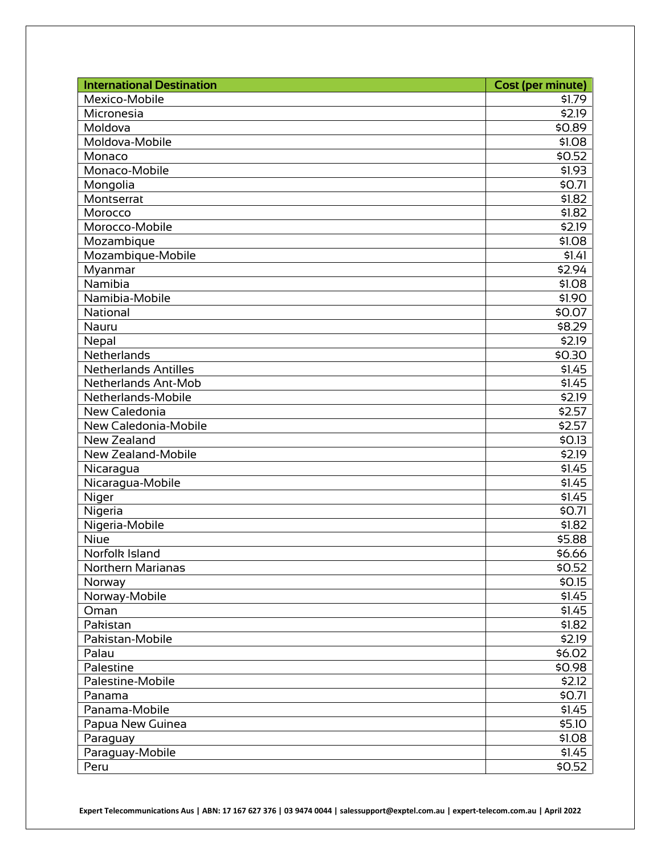| <b>International Destination</b> | <b>Cost (per minute)</b> |
|----------------------------------|--------------------------|
| Mexico-Mobile                    | \$1.79                   |
| Micronesia                       | 52.19                    |
| Moldova                          | \$0.89                   |
| Moldova-Mobile                   | \$1.08                   |
| Monaco                           | \$0.52                   |
| Monaco-Mobile                    | \$1.93                   |
| Mongolia                         | \$0.71                   |
| Montserrat                       | \$1.82                   |
| Morocco                          | \$1.82                   |
| Morocco-Mobile                   | \$2.19                   |
| Mozambique                       | \$1.08                   |
| Mozambique-Mobile                | \$1.41                   |
| Myanmar                          | \$2.94                   |
| Namibia                          | \$1.08                   |
| Namibia-Mobile                   | \$1.90                   |
| <b>National</b>                  | \$0.07                   |
| Nauru                            | \$8.29                   |
| Nepal                            | \$2.19                   |
| Netherlands                      | \$0.30                   |
| <b>Netherlands Antilles</b>      | \$1.45                   |
| Netherlands Ant-Mob              | \$1.45                   |
| Netherlands-Mobile               | \$2.19                   |
| New Caledonia                    | \$2.57                   |
| New Caledonia-Mobile             | \$2.57                   |
| New Zealand                      | \$0.13                   |
| New Zealand-Mobile               | \$2.19                   |
| Nicaragua                        | \$1.45                   |
| Nicaragua-Mobile                 | \$1.45                   |
| Niger                            | \$1.45                   |
| Nigeria                          | \$0.71                   |
| Nigeria-Mobile                   | \$1.82                   |
| Niue                             | \$5.88                   |
| Norfolk Island                   | \$6.66                   |
| Northern Marianas                | \$0.52                   |
| Norway                           | \$0.15                   |
| Norway-Mobile                    | \$1.45                   |
| Oman                             | \$1.45                   |
| Pakistan                         | \$1.82                   |
| Pakistan-Mobile                  | \$2.19                   |
| Palau                            | \$6.02                   |
| Palestine                        | \$0.98                   |
| Palestine-Mobile                 | \$2.12                   |
| Panama                           | \$0.71                   |
| Panama-Mobile                    | \$1.45                   |
| Papua New Guinea                 | \$5.10                   |
| Paraguay                         | \$1.08                   |
| Paraguay-Mobile                  | \$1.45                   |
| Peru                             | \$0.52                   |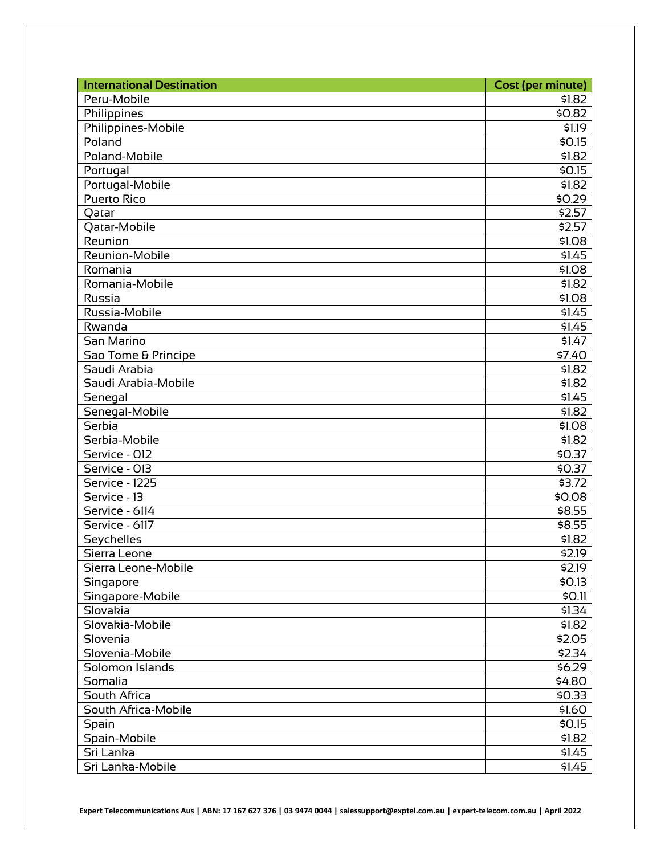| <b>International Destination</b> | <b>Cost (per minute)</b> |
|----------------------------------|--------------------------|
| Peru-Mobile                      | \$1.82                   |
| Philippines                      | \$0.82                   |
| Philippines-Mobile               | \$1.19                   |
| Poland                           | \$0.15                   |
| Poland-Mobile                    | \$1.82                   |
| Portugal                         | \$0.15                   |
| Portugal-Mobile                  | \$1.82                   |
| <b>Puerto Rico</b>               | \$0.29                   |
| Qatar                            | \$2.57                   |
| Qatar-Mobile                     | \$2.57                   |
| Reunion                          | \$1.08                   |
| Reunion-Mobile                   | \$1.45                   |
| Romania                          | \$1.08                   |
| Romania-Mobile                   | \$1.82                   |
| Russia                           | \$1.08                   |
| Russia-Mobile                    | \$1.45                   |
| Rwanda                           | \$1.45                   |
| San Marino                       | $\overline{5}1.47$       |
| Sao Tome & Principe              | \$7.40                   |
| Saudi Arabia                     | \$1.82                   |
| Saudi Arabia-Mobile              | \$1.82                   |
| Senegal                          | \$1.45                   |
| Senegal-Mobile                   | \$1.82                   |
| Serbia                           | \$1.08                   |
| Serbia-Mobile                    | \$1.82                   |
| Service - 012                    | \$0.37                   |
| Service - 013                    | \$0.37                   |
| Service - 1225                   | \$3.72                   |
| Service - 13                     | \$0.08                   |
| Service - 6114                   | \$8.55                   |
| Service - 6117                   | \$8.55                   |
| Seychelles                       | \$1.82                   |
| Sierra Leone                     | $\overline{52.19}$       |
| Sierra Leone-Mobile              | \$2.19                   |
| Singapore                        | \$0.13                   |
| Singapore-Mobile                 | \$0.11                   |
| Slovakia                         | \$1.34                   |
| Slovakia-Mobile                  | \$1.82                   |
| Slovenia                         | \$2.05                   |
| Slovenia-Mobile                  | \$2.34                   |
| Solomon Islands                  | \$6.29                   |
| Somalia                          | \$4.80                   |
| South Africa                     | \$0.33                   |
| South Africa-Mobile              | \$1.60                   |
| Spain                            | \$0.15                   |
| Spain-Mobile                     | \$1.82                   |
| Sri Lanka                        | \$1.45                   |
| Sri Lanka-Mobile                 | \$1.45                   |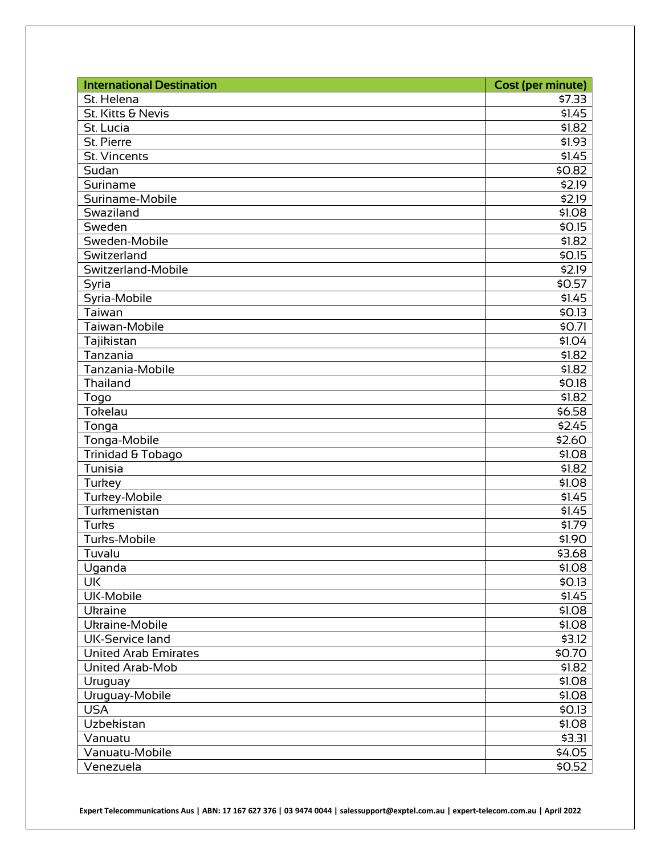| <b>International Destination</b> | <b>Cost (per minute)</b> |
|----------------------------------|--------------------------|
| St. Helena                       | \$7.33                   |
| St. Kitts & Nevis                | \$1.45                   |
| St. Lucia                        | \$1.82                   |
| St. Pierre                       | \$1.93                   |
| St. Vincents                     | \$1.45                   |
| Sudan                            | \$0.82                   |
| Suriname                         | \$2.19                   |
| Suriname-Mobile                  | \$2.19                   |
| Swaziland                        | \$1.08                   |
| Sweden                           | \$0.15                   |
| Sweden-Mobile                    | \$1.82                   |
| Switzerland                      | \$0.15                   |
| Switzerland-Mobile               | \$2.19                   |
| Syria                            | \$0.57                   |
| Syria-Mobile                     | \$1.45                   |
| Taiwan                           | \$0.13                   |
| Taiwan-Mobile                    | \$0.71                   |
| Tajikistan                       | \$1.04                   |
| Tanzania                         | \$1.82                   |
| Tanzania-Mobile                  | \$1.82                   |
| Thailand                         | \$0.18                   |
| Togo                             | \$1.82                   |
| Tokelau                          | \$6.58                   |
| Tonga                            | \$2.45                   |
| Tonga-Mobile                     | \$2.60                   |
| Trinidad & Tobago                | \$1.08                   |
| Tunisia                          | \$1.82                   |
| Turkey                           | \$1.08                   |
| Turkey-Mobile                    | \$1.45                   |
| Turkmenistan                     | \$1.45                   |
| Turks                            | \$1.79                   |
| <b>Turks-Mobile</b>              | \$1.90                   |
| Tuvalu                           | \$3.68                   |
| Uganda                           | \$1.08                   |
| <b>UK</b>                        | \$0.13                   |
| UK-Mobile                        | \$1.45                   |
| Ukraine                          | \$1.08                   |
| Ukraine-Mobile                   | \$1.08                   |
| UK-Service land                  | \$3.12                   |
| <b>United Arab Emirates</b>      | \$0.70                   |
| United Arab-Mob                  | \$1.82                   |
| Uruguay                          | \$1.08                   |
| Uruguay-Mobile                   | \$1.08                   |
| <b>USA</b>                       | \$0.13                   |
| Uzbekistan                       | \$1.08                   |
| Vanuatu                          | \$3.31                   |
| Vanuatu-Mobile                   | \$4.05                   |
| Venezuela                        | \$0.52                   |